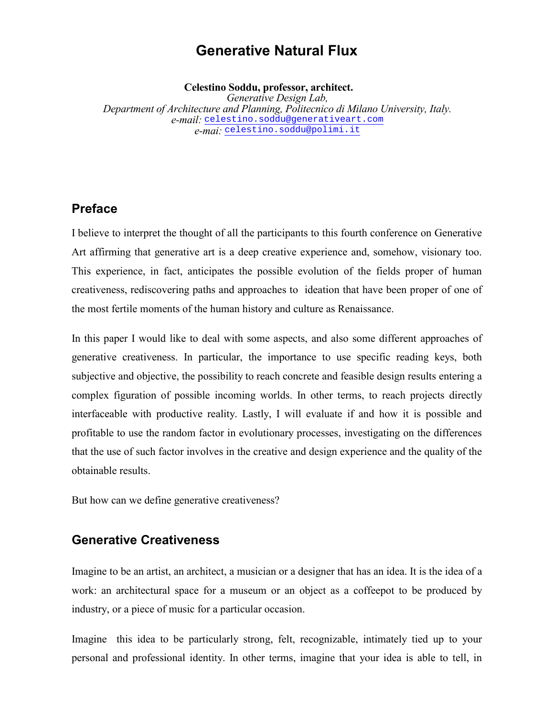# **Generative Natural Flux**

**Celestino Soddu, professor, architect.**

*Generative Design Lab, Department of Architecture and Planning, Politecnico di Milano University, Italy. e-mail:* celestino.soddu@generativeart.com *e-mai:* celestino.soddu@polimi.it

#### **Preface**

I believe to interpret the thought of all the participants to this fourth conference on Generative Art affirming that generative art is a deep creative experience and, somehow, visionary too. This experience, in fact, anticipates the possible evolution of the fields proper of human creativeness, rediscovering paths and approaches to ideation that have been proper of one of the most fertile moments of the human history and culture as Renaissance.

In this paper I would like to deal with some aspects, and also some different approaches of generative creativeness. In particular, the importance to use specific reading keys, both subjective and objective, the possibility to reach concrete and feasible design results entering a complex figuration of possible incoming worlds. In other terms, to reach projects directly interfaceable with productive reality. Lastly, I will evaluate if and how it is possible and profitable to use the random factor in evolutionary processes, investigating on the differences that the use of such factor involves in the creative and design experience and the quality of the obtainable results.

But how can we define generative creativeness?

#### **Generative Creativeness**

Imagine to be an artist, an architect, a musician or a designer that has an idea. It is the idea of a work: an architectural space for a museum or an object as a coffeepot to be produced by industry, or a piece of music for a particular occasion.

Imagine this idea to be particularly strong, felt, recognizable, intimately tied up to your personal and professional identity. In other terms, imagine that your idea is able to tell, in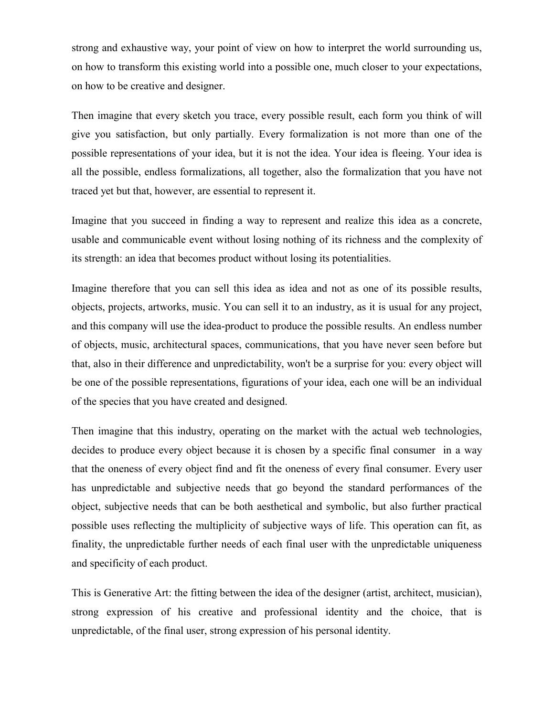strong and exhaustive way, your point of view on how to interpret the world surrounding us, on how to transform this existing world into a possible one, much closer to your expectations, on how to be creative and designer.

Then imagine that every sketch you trace, every possible result, each form you think of will give you satisfaction, but only partially. Every formalization is not more than one of the possible representations of your idea, but it is not the idea. Your idea is fleeing. Your idea is all the possible, endless formalizations, all together, also the formalization that you have not traced yet but that, however, are essential to represent it.

Imagine that you succeed in finding a way to represent and realize this idea as a concrete, usable and communicable event without losing nothing of its richness and the complexity of its strength: an idea that becomes product without losing its potentialities.

Imagine therefore that you can sell this idea as idea and not as one of its possible results, objects, projects, artworks, music. You can sell it to an industry, as it is usual for any project, and this company will use the idea-product to produce the possible results. An endless number of objects, music, architectural spaces, communications, that you have never seen before but that, also in their difference and unpredictability, won't be a surprise for you: every object will be one of the possible representations, figurations of your idea, each one will be an individual of the species that you have created and designed.

Then imagine that this industry, operating on the market with the actual web technologies, decides to produce every object because it is chosen by a specific final consumer in a way that the oneness of every object find and fit the oneness of every final consumer. Every user has unpredictable and subjective needs that go beyond the standard performances of the object, subjective needs that can be both aesthetical and symbolic, but also further practical possible uses reflecting the multiplicity of subjective ways of life. This operation can fit, as finality, the unpredictable further needs of each final user with the unpredictable uniqueness and specificity of each product.

This is Generative Art: the fitting between the idea of the designer (artist, architect, musician), strong expression of his creative and professional identity and the choice, that is unpredictable, of the final user, strong expression of his personal identity.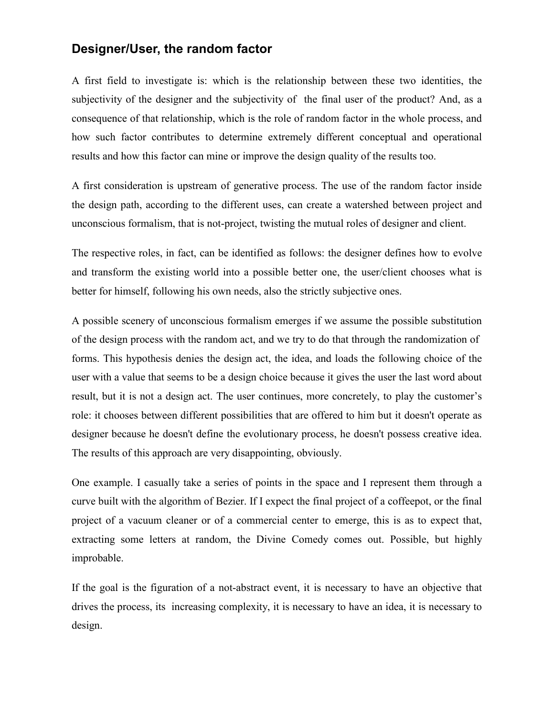### **Designer/User, the random factor**

A first field to investigate is: which is the relationship between these two identities, the subjectivity of the designer and the subjectivity of the final user of the product? And, as a consequence of that relationship, which is the role of random factor in the whole process, and how such factor contributes to determine extremely different conceptual and operational results and how this factor can mine or improve the design quality of the results too.

A first consideration is upstream of generative process. The use of the random factor inside the design path, according to the different uses, can create a watershed between project and unconscious formalism, that is not-project, twisting the mutual roles of designer and client.

The respective roles, in fact, can be identified as follows: the designer defines how to evolve and transform the existing world into a possible better one, the user/client chooses what is better for himself, following his own needs, also the strictly subjective ones.

A possible scenery of unconscious formalism emerges if we assume the possible substitution of the design process with the random act, and we try to do that through the randomization of forms. This hypothesis denies the design act, the idea, and loads the following choice of the user with a value that seems to be a design choice because it gives the user the last word about result, but it is not a design act. The user continues, more concretely, to play the customer's role: it chooses between different possibilities that are offered to him but it doesn't operate as designer because he doesn't define the evolutionary process, he doesn't possess creative idea. The results of this approach are very disappointing, obviously.

One example. I casually take a series of points in the space and I represent them through a curve built with the algorithm of Bezier. If I expect the final project of a coffeepot, or the final project of a vacuum cleaner or of a commercial center to emerge, this is as to expect that, extracting some letters at random, the Divine Comedy comes out. Possible, but highly improbable.

If the goal is the figuration of a not-abstract event, it is necessary to have an objective that drives the process, its increasing complexity, it is necessary to have an idea, it is necessary to design.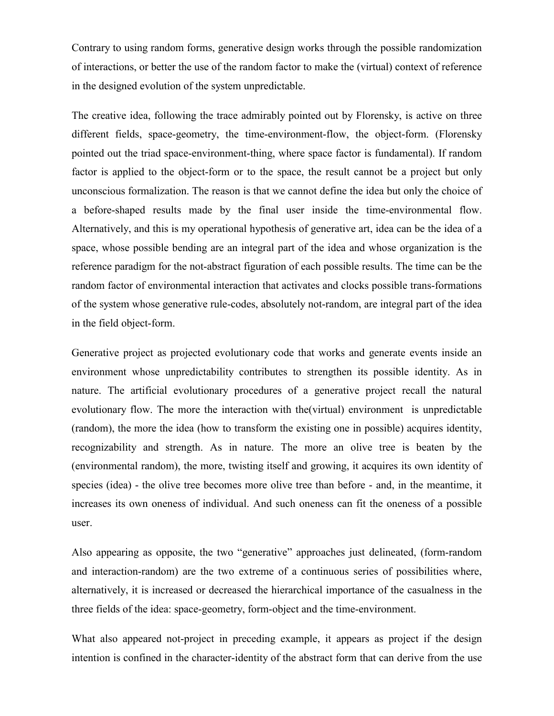Contrary to using random forms, generative design works through the possible randomization of interactions, or better the use of the random factor to make the (virtual) context of reference in the designed evolution of the system unpredictable.

The creative idea, following the trace admirably pointed out by Florensky, is active on three different fields, space-geometry, the time-environment-flow, the object-form. (Florensky pointed out the triad space-environment-thing, where space factor is fundamental). If random factor is applied to the object-form or to the space, the result cannot be a project but only unconscious formalization. The reason is that we cannot define the idea but only the choice of a before-shaped results made by the final user inside the time-environmental flow. Alternatively, and this is my operational hypothesis of generative art, idea can be the idea of a space, whose possible bending are an integral part of the idea and whose organization is the reference paradigm for the not-abstract figuration of each possible results. The time can be the random factor of environmental interaction that activates and clocks possible trans-formations of the system whose generative rule-codes, absolutely not-random, are integral part of the idea in the field object-form.

Generative project as projected evolutionary code that works and generate events inside an environment whose unpredictability contributes to strengthen its possible identity. As in nature. The artificial evolutionary procedures of a generative project recall the natural evolutionary flow. The more the interaction with the(virtual) environment is unpredictable (random), the more the idea (how to transform the existing one in possible) acquires identity, recognizability and strength. As in nature. The more an olive tree is beaten by the (environmental random), the more, twisting itself and growing, it acquires its own identity of species (idea) - the olive tree becomes more olive tree than before - and, in the meantime, it increases its own oneness of individual. And such oneness can fit the oneness of a possible user.

Also appearing as opposite, the two "generative" approaches just delineated, (form-random and interaction-random) are the two extreme of a continuous series of possibilities where, alternatively, it is increased or decreased the hierarchical importance of the casualness in the three fields of the idea: space-geometry, form-object and the time-environment.

What also appeared not-project in preceding example, it appears as project if the design intention is confined in the character-identity of the abstract form that can derive from the use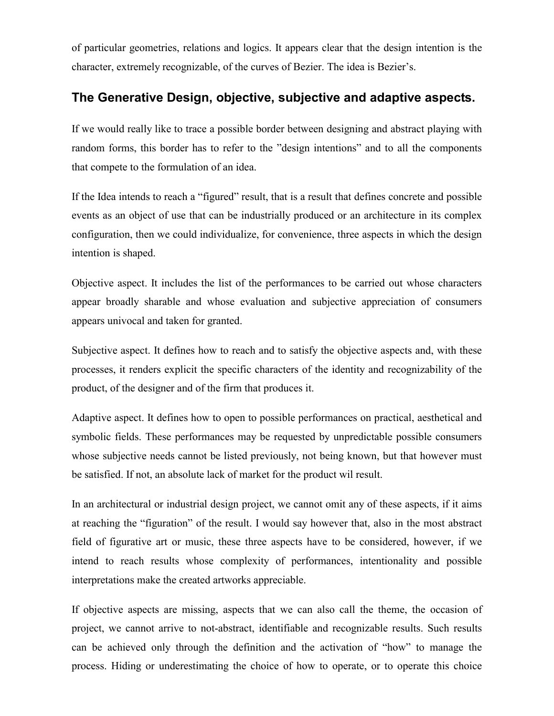of particular geometries, relations and logics. It appears clear that the design intention is the character, extremely recognizable, of the curves of Bezier. The idea is Bezier's.

## **The Generative Design, objective, subjective and adaptive aspects.**

If we would really like to trace a possible border between designing and abstract playing with random forms, this border has to refer to the "design intentions" and to all the components that compete to the formulation of an idea.

If the Idea intends to reach a "figured" result, that is a result that defines concrete and possible events as an object of use that can be industrially produced or an architecture in its complex configuration, then we could individualize, for convenience, three aspects in which the design intention is shaped.

Objective aspect. It includes the list of the performances to be carried out whose characters appear broadly sharable and whose evaluation and subjective appreciation of consumers appears univocal and taken for granted.

Subjective aspect. It defines how to reach and to satisfy the objective aspects and, with these processes, it renders explicit the specific characters of the identity and recognizability of the product, of the designer and of the firm that produces it.

Adaptive aspect. It defines how to open to possible performances on practical, aesthetical and symbolic fields. These performances may be requested by unpredictable possible consumers whose subjective needs cannot be listed previously, not being known, but that however must be satisfied. If not, an absolute lack of market for the product wil result.

In an architectural or industrial design project, we cannot omit any of these aspects, if it aims at reaching the "figuration" of the result. I would say however that, also in the most abstract field of figurative art or music, these three aspects have to be considered, however, if we intend to reach results whose complexity of performances, intentionality and possible interpretations make the created artworks appreciable.

If objective aspects are missing, aspects that we can also call the theme, the occasion of project, we cannot arrive to not-abstract, identifiable and recognizable results. Such results can be achieved only through the definition and the activation of "how" to manage the process. Hiding or underestimating the choice of how to operate, or to operate this choice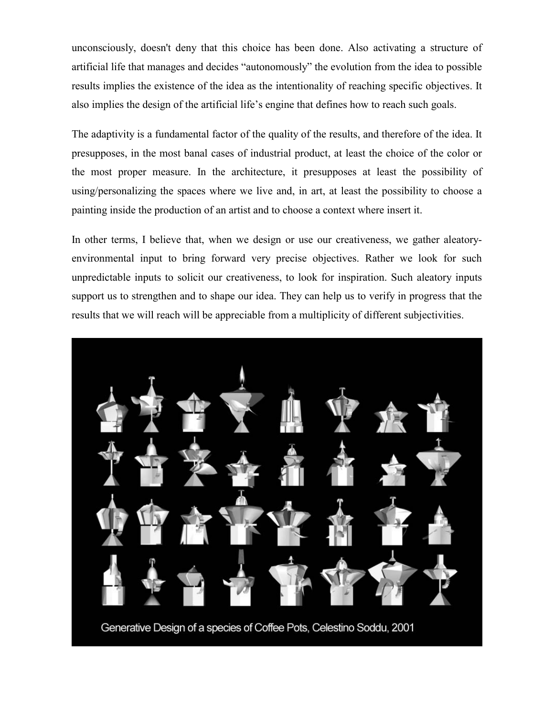unconsciously, doesn't deny that this choice has been done. Also activating a structure of artificial life that manages and decides "autonomously" the evolution from the idea to possible results implies the existence of the idea as the intentionality of reaching specific objectives. It also implies the design of the artificial life's engine that defines how to reach such goals.

The adaptivity is a fundamental factor of the quality of the results, and therefore of the idea. It presupposes, in the most banal cases of industrial product, at least the choice of the color or the most proper measure. In the architecture, it presupposes at least the possibility of using/personalizing the spaces where we live and, in art, at least the possibility to choose a painting inside the production of an artist and to choose a context where insert it.

In other terms, I believe that, when we design or use our creativeness, we gather aleatoryenvironmental input to bring forward very precise objectives. Rather we look for such unpredictable inputs to solicit our creativeness, to look for inspiration. Such aleatory inputs support us to strengthen and to shape our idea. They can help us to verify in progress that the results that we will reach will be appreciable from a multiplicity of different subjectivities.

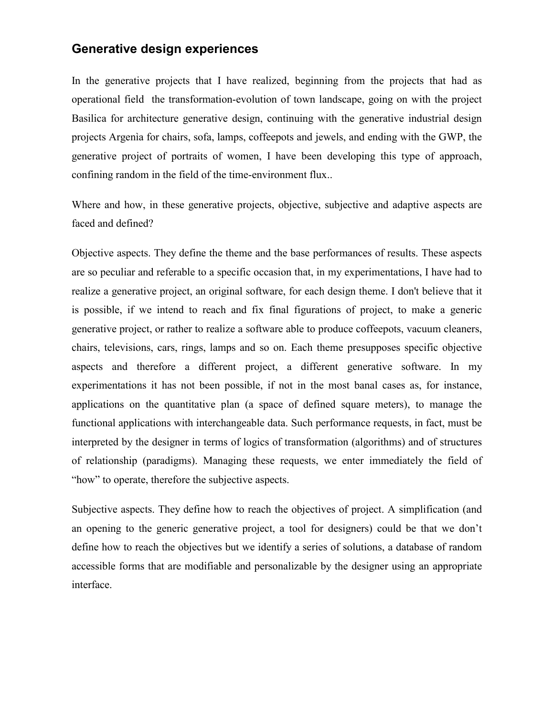#### **Generative design experiences**

In the generative projects that I have realized, beginning from the projects that had as operational field the transformation-evolution of town landscape, going on with the project Basilica for architecture generative design, continuing with the generative industrial design projects Argenìa for chairs, sofa, lamps, coffeepots and jewels, and ending with the GWP, the generative project of portraits of women, I have been developing this type of approach, confining random in the field of the time-environment flux..

Where and how, in these generative projects, objective, subjective and adaptive aspects are faced and defined?

Objective aspects. They define the theme and the base performances of results. These aspects are so peculiar and referable to a specific occasion that, in my experimentations, I have had to realize a generative project, an original software, for each design theme. I don't believe that it is possible, if we intend to reach and fix final figurations of project, to make a generic generative project, or rather to realize a software able to produce coffeepots, vacuum cleaners, chairs, televisions, cars, rings, lamps and so on. Each theme presupposes specific objective aspects and therefore a different project, a different generative software. In my experimentations it has not been possible, if not in the most banal cases as, for instance, applications on the quantitative plan (a space of defined square meters), to manage the functional applications with interchangeable data. Such performance requests, in fact, must be interpreted by the designer in terms of logics of transformation (algorithms) and of structures of relationship (paradigms). Managing these requests, we enter immediately the field of "how" to operate, therefore the subjective aspects.

Subjective aspects. They define how to reach the objectives of project. A simplification (and an opening to the generic generative project, a tool for designers) could be that we don't define how to reach the objectives but we identify a series of solutions, a database of random accessible forms that are modifiable and personalizable by the designer using an appropriate interface.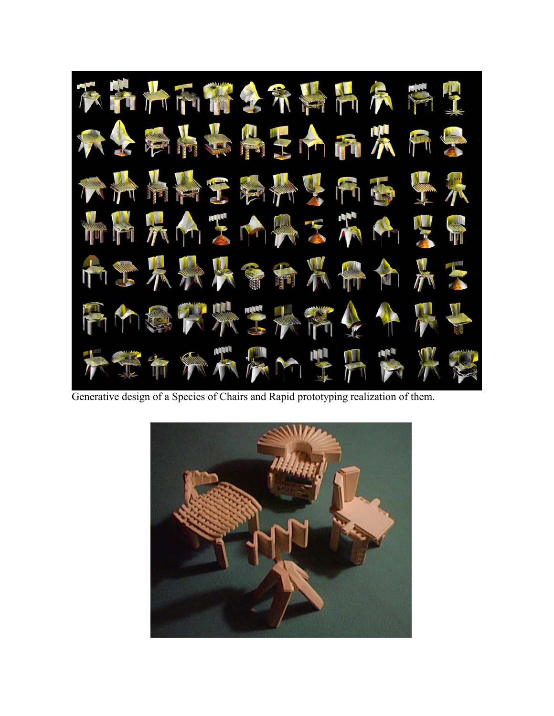

Generative design of a Species of Chairs and Rapid prototyping realization of them.

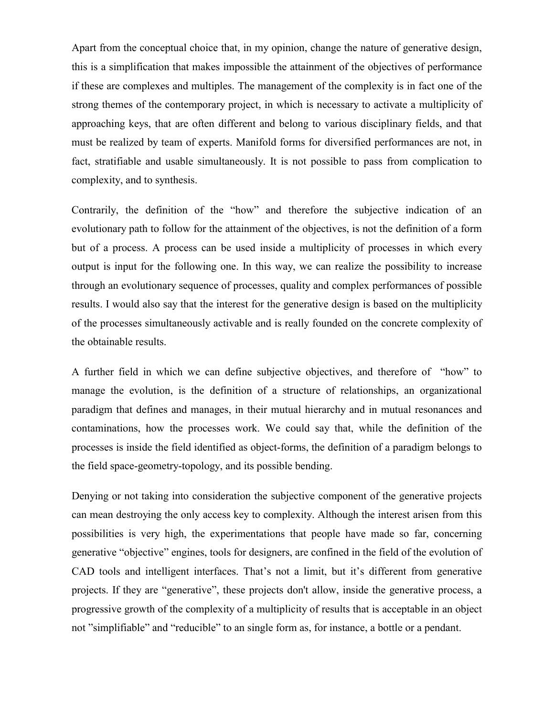Apart from the conceptual choice that, in my opinion, change the nature of generative design, this is a simplification that makes impossible the attainment of the objectives of performance if these are complexes and multiples. The management of the complexity is in fact one of the strong themes of the contemporary project, in which is necessary to activate a multiplicity of approaching keys, that are often different and belong to various disciplinary fields, and that must be realized by team of experts. Manifold forms for diversified performances are not, in fact, stratifiable and usable simultaneously. It is not possible to pass from complication to complexity, and to synthesis.

Contrarily, the definition of the "how" and therefore the subjective indication of an evolutionary path to follow for the attainment of the objectives, is not the definition of a form but of a process. A process can be used inside a multiplicity of processes in which every output is input for the following one. In this way, we can realize the possibility to increase through an evolutionary sequence of processes, quality and complex performances of possible results. I would also say that the interest for the generative design is based on the multiplicity of the processes simultaneously activable and is really founded on the concrete complexity of the obtainable results.

A further field in which we can define subjective objectives, and therefore of "how" to manage the evolution, is the definition of a structure of relationships, an organizational paradigm that defines and manages, in their mutual hierarchy and in mutual resonances and contaminations, how the processes work. We could say that, while the definition of the processes is inside the field identified as object-forms, the definition of a paradigm belongs to the field space-geometry-topology, and its possible bending.

Denying or not taking into consideration the subjective component of the generative projects can mean destroying the only access key to complexity. Although the interest arisen from this possibilities is very high, the experimentations that people have made so far, concerning generative "objective" engines, tools for designers, are confined in the field of the evolution of CAD tools and intelligent interfaces. That's not a limit, but it's different from generative projects. If they are "generative", these projects don't allow, inside the generative process, a progressive growth of the complexity of a multiplicity of results that is acceptable in an object not "simplifiable" and "reducible" to an single form as, for instance, a bottle or a pendant.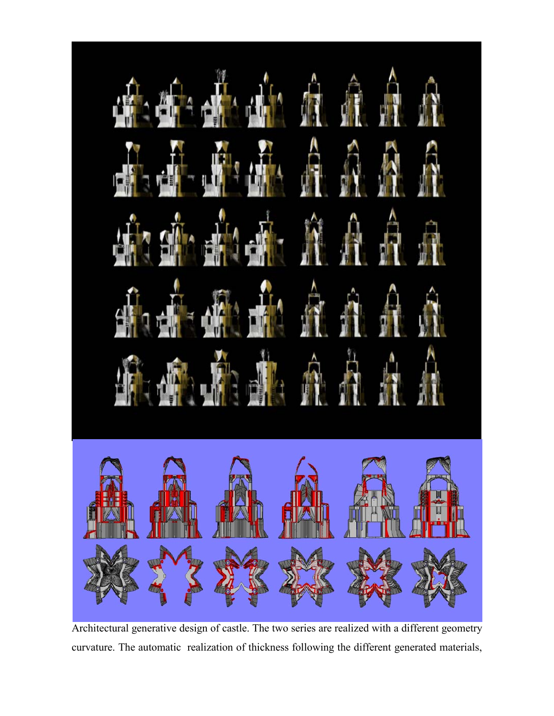

Architectural generative design of castle. The two series are realized with a different geometry curvature. The automatic realization of thickness following the different generated materials,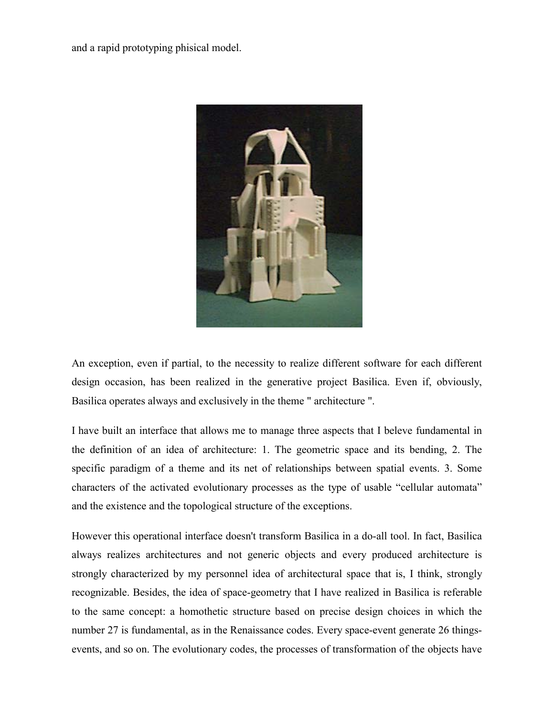and a rapid prototyping phisical model.



An exception, even if partial, to the necessity to realize different software for each different design occasion, has been realized in the generative project Basilica. Even if, obviously, Basilica operates always and exclusively in the theme " architecture ".

I have built an interface that allows me to manage three aspects that I beleve fundamental in the definition of an idea of architecture: 1. The geometric space and its bending, 2. The specific paradigm of a theme and its net of relationships between spatial events. 3. Some characters of the activated evolutionary processes as the type of usable "cellular automata" and the existence and the topological structure of the exceptions.

However this operational interface doesn't transform Basilica in a do-all tool. In fact, Basilica always realizes architectures and not generic objects and every produced architecture is strongly characterized by my personnel idea of architectural space that is, I think, strongly recognizable. Besides, the idea of space-geometry that I have realized in Basilica is referable to the same concept: a homothetic structure based on precise design choices in which the number 27 is fundamental, as in the Renaissance codes. Every space-event generate 26 thingsevents, and so on. The evolutionary codes, the processes of transformation of the objects have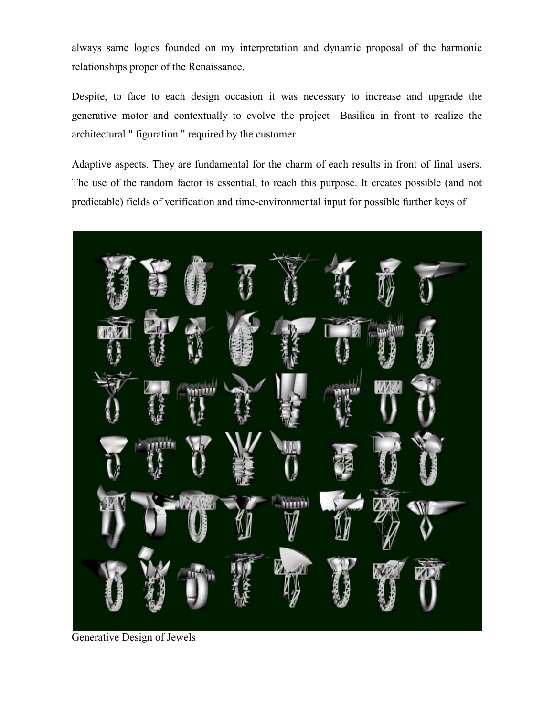always same logics founded on my interpretation and dynamic proposal of the harmonic relationships proper of the Renaissance.

Despite, to face to each design occasion it was necessary to increase and upgrade the generative motor and contextually to evolve the project Basilica in front to realize the architectural " figuration " required by the customer.

Adaptive aspects. They are fundamental for the charm of each results in front of final users. The use of the random factor is essential, to reach this purpose. It creates possible (and not predictable) fields of verification and time-environmental input for possible further keys of



Generative Design of Jewels